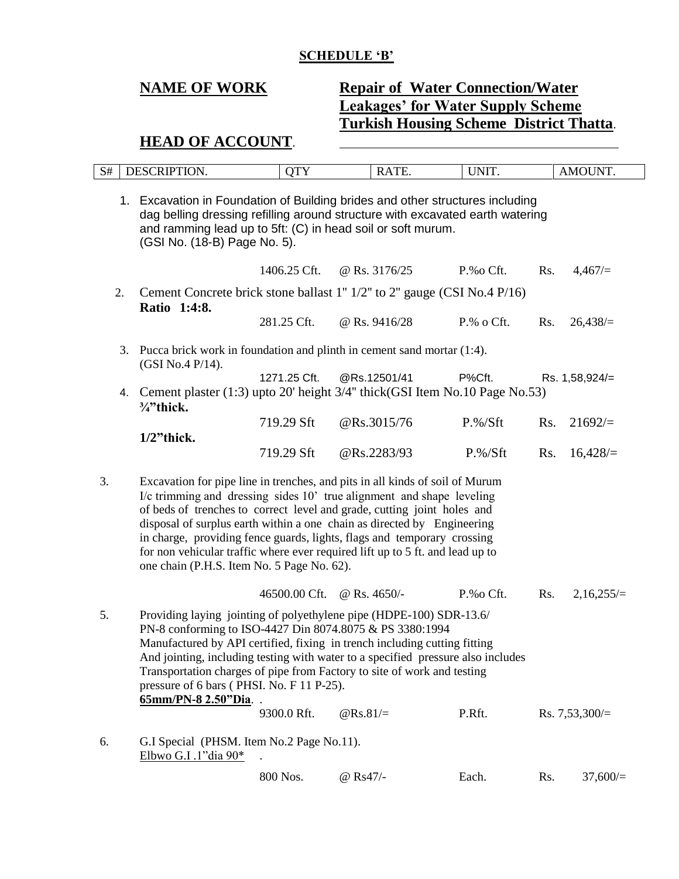### **SCHEDULE 'B'**

# **NAME OF WORK Repair of Water Connection/Water Leakages' for Water Supply Scheme Turkish Housing Scheme District Thatta**.

## **HEAD OF ACCOUNT**.

| $\alpha$ $\mu$<br>N# | $\Omega$<br>) І- | $\sim$ $\sim$ $\sim$ $\sim$<br>- | mт<br><br>. .<br>the contract of the contract of the contract of the contract of the contract of the contract of the contract of | <b>INIT</b><br>.<br>______ | T<br>IN.<br>$\overline{\phantom{a}}$<br>______ |
|----------------------|------------------|----------------------------------|----------------------------------------------------------------------------------------------------------------------------------|----------------------------|------------------------------------------------|
|                      |                  |                                  |                                                                                                                                  |                            |                                                |

1. Excavation in Foundation of Building brides and other structures including dag belling dressing refilling around structure with excavated earth watering and ramming lead up to 5ft: (C) in head soil or soft murum. (GSI No. (18-B) Page No. 5).

- 1406.25 Cft. @ Rs. 3176/25 P.%o Cft. Rs. 4,467/= 2. Cement Concrete brick stone ballast 1'' 1/2'' to 2'' gauge (CSI No.4 P/16) **Ratio 1:4:8.** 281.25 Cft. @ Rs. 9416/28 P.% o Cft. Rs. 26,438/=
- 3. Pucca brick work in foundation and plinth in cement sand mortar (1:4). (GSI No.4 P/14). 1271.25 Cft. @Rs.12501/41 P%Cft. Rs. 1,58,924/=
- 4. Cement plaster (1:3) upto 20' height 3/4'' thick(GSI Item No.10 Page No.53) **¾"thick.** 719.29 Sft @Rs.3015/76 P.%/Sft Rs. 21692/=
	- **1/2"thick.** 719.29 Sft @Rs.2283/93 P.%/Sft Rs. 16,428/=

3. Excavation for pipe line in trenches, and pits in all kinds of soil of Murum I/c trimming and dressing sides 10' true alignment and shape leveling of beds of trenches to correct level and grade, cutting joint holes and disposal of surplus earth within a one chain as directed by Engineering in charge, providing fence guards, lights, flags and temporary crossing for non vehicular traffic where ever required lift up to 5 ft. and lead up to one chain (P.H.S. Item No. 5 Page No. 62).

46500.00 Cft. @ Rs. 4650/- P.%o Cft. Rs. 2,16,255/=

- 5. Providing laying jointing of polyethylene pipe (HDPE-100) SDR-13.6/ PN-8 conforming to ISO-4427 Din 8074.8075 & PS 3380:1994 Manufactured by API certified, fixing in trench including cutting fitting And jointing, including testing with water to a specified pressure also includes Transportation charges of pipe from Factory to site of work and testing pressure of 6 bars ( PHSI. No. F 11 P-25). **65mm/PN-8 2.50"Dia**. . 9300.0 Rft.  $\textcircled{R}s.81/\text{=}$  P.Rft. Rs. 7,53,300/=
- 6. G.I Special (PHSM. Item No.2 Page No.11). Elbwo G.I .1"dia 90\*

| 800 Nos.<br>@ $\rm{Rs}47/-$ | Each. | Rs. | 37,600/ |
|-----------------------------|-------|-----|---------|
|-----------------------------|-------|-----|---------|